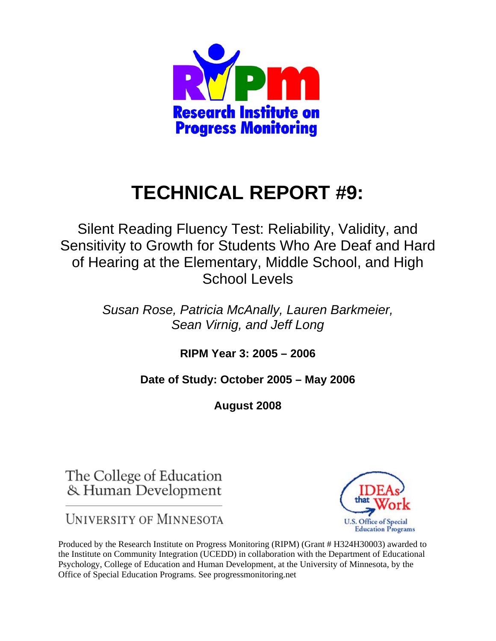

# **TECHNICAL REPORT #9:**

Silent Reading Fluency Test: Reliability, Validity, and Sensitivity to Growth for Students Who Are Deaf and Hard of Hearing at the Elementary, Middle School, and High School Levels

> *Susan Rose, Patricia McAnally, Lauren Barkmeier, Sean Virnig, and Jeff Long*

> > **RIPM Year 3: 2005 – 2006**

**Date of Study: October 2005 – May 2006** 

**August 2008** 

The College of Education & Human Development

**UNIVERSITY OF MINNESOTA** 



Produced by the Research Institute on Progress Monitoring (RIPM) (Grant # H324H30003) awarded to the Institute on Community Integration (UCEDD) in collaboration with the Department of Educational Psychology, College of Education and Human Development, at the University of Minnesota, by the Office of Special Education Programs. See progressmonitoring.net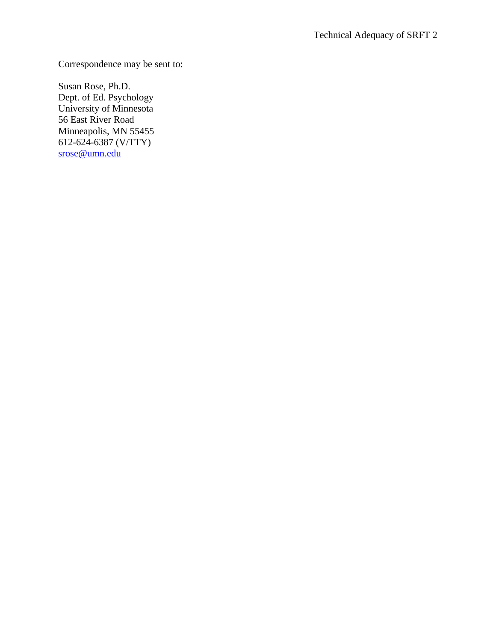Correspondence may be sent to:

Susan Rose, Ph.D. Dept. of Ed. Psychology University of Minnesota 56 East River Road Minneapolis, MN 55455 612-624-6387 (V/TTY) srose@umn.edu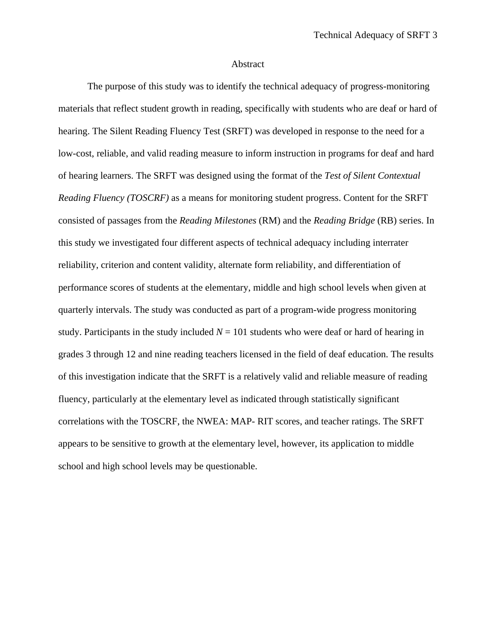#### Abstract

The purpose of this study was to identify the technical adequacy of progress-monitoring materials that reflect student growth in reading, specifically with students who are deaf or hard of hearing. The Silent Reading Fluency Test (SRFT) was developed in response to the need for a low-cost, reliable, and valid reading measure to inform instruction in programs for deaf and hard of hearing learners. The SRFT was designed using the format of the *Test of Silent Contextual Reading Fluency (TOSCRF)* as a means for monitoring student progress. Content for the SRFT consisted of passages from the *Reading Milestones* (RM) and the *Reading Bridge* (RB) series. In this study we investigated four different aspects of technical adequacy including interrater reliability, criterion and content validity, alternate form reliability, and differentiation of performance scores of students at the elementary, middle and high school levels when given at quarterly intervals. The study was conducted as part of a program-wide progress monitoring study. Participants in the study included  $N = 101$  students who were deaf or hard of hearing in grades 3 through 12 and nine reading teachers licensed in the field of deaf education. The results of this investigation indicate that the SRFT is a relatively valid and reliable measure of reading fluency, particularly at the elementary level as indicated through statistically significant correlations with the TOSCRF, the NWEA: MAP- RIT scores, and teacher ratings. The SRFT appears to be sensitive to growth at the elementary level, however, its application to middle school and high school levels may be questionable.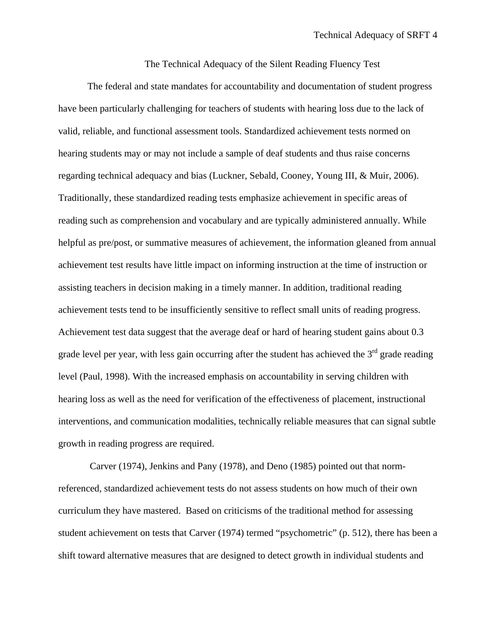The Technical Adequacy of the Silent Reading Fluency Test

The federal and state mandates for accountability and documentation of student progress have been particularly challenging for teachers of students with hearing loss due to the lack of valid, reliable, and functional assessment tools. Standardized achievement tests normed on hearing students may or may not include a sample of deaf students and thus raise concerns regarding technical adequacy and bias (Luckner, Sebald, Cooney, Young III, & Muir, 2006). Traditionally, these standardized reading tests emphasize achievement in specific areas of reading such as comprehension and vocabulary and are typically administered annually. While helpful as pre/post, or summative measures of achievement, the information gleaned from annual achievement test results have little impact on informing instruction at the time of instruction or assisting teachers in decision making in a timely manner. In addition, traditional reading achievement tests tend to be insufficiently sensitive to reflect small units of reading progress. Achievement test data suggest that the average deaf or hard of hearing student gains about 0.3 grade level per year, with less gain occurring after the student has achieved the  $3<sup>rd</sup>$  grade reading level (Paul, 1998). With the increased emphasis on accountability in serving children with hearing loss as well as the need for verification of the effectiveness of placement, instructional interventions, and communication modalities, technically reliable measures that can signal subtle growth in reading progress are required.

 Carver (1974), Jenkins and Pany (1978), and Deno (1985) pointed out that normreferenced, standardized achievement tests do not assess students on how much of their own curriculum they have mastered. Based on criticisms of the traditional method for assessing student achievement on tests that Carver (1974) termed "psychometric" (p. 512), there has been a shift toward alternative measures that are designed to detect growth in individual students and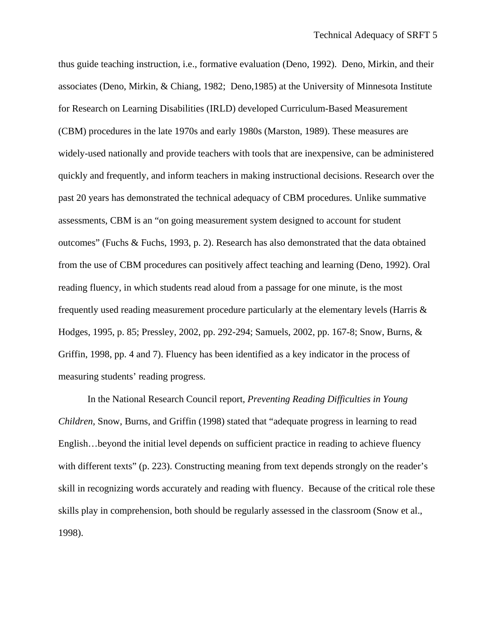thus guide teaching instruction, i.e., formative evaluation (Deno, 1992). Deno, Mirkin, and their associates (Deno, Mirkin, & Chiang, 1982; Deno,1985) at the University of Minnesota Institute for Research on Learning Disabilities (IRLD) developed Curriculum-Based Measurement (CBM) procedures in the late 1970s and early 1980s (Marston, 1989). These measures are widely-used nationally and provide teachers with tools that are inexpensive, can be administered quickly and frequently, and inform teachers in making instructional decisions. Research over the past 20 years has demonstrated the technical adequacy of CBM procedures. Unlike summative assessments, CBM is an "on going measurement system designed to account for student outcomes" (Fuchs & Fuchs, 1993, p. 2). Research has also demonstrated that the data obtained from the use of CBM procedures can positively affect teaching and learning (Deno, 1992). Oral reading fluency, in which students read aloud from a passage for one minute, is the most frequently used reading measurement procedure particularly at the elementary levels (Harris & Hodges, 1995, p. 85; Pressley, 2002, pp. 292-294; Samuels, 2002, pp. 167-8; Snow, Burns, & Griffin, 1998, pp. 4 and 7). Fluency has been identified as a key indicator in the process of measuring students' reading progress.

In the National Research Council report, *Preventing Reading Difficulties in Young Children,* Snow, Burns, and Griffin (1998) stated that "adequate progress in learning to read English…beyond the initial level depends on sufficient practice in reading to achieve fluency with different texts" (p. 223). Constructing meaning from text depends strongly on the reader's skill in recognizing words accurately and reading with fluency. Because of the critical role these skills play in comprehension, both should be regularly assessed in the classroom (Snow et al., 1998).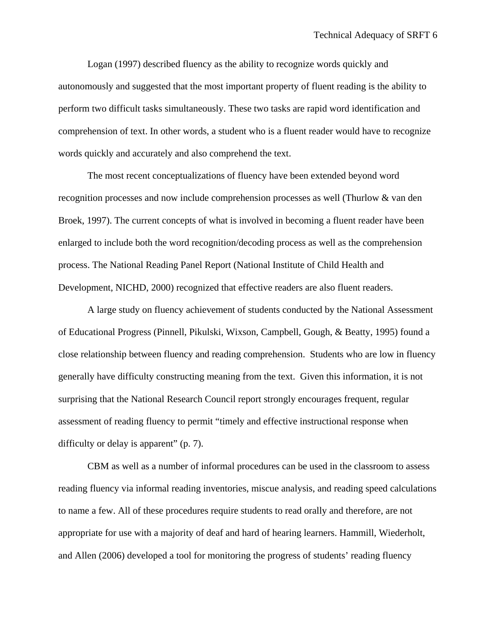Logan (1997) described fluency as the ability to recognize words quickly and autonomously and suggested that the most important property of fluent reading is the ability to perform two difficult tasks simultaneously. These two tasks are rapid word identification and comprehension of text. In other words, a student who is a fluent reader would have to recognize words quickly and accurately and also comprehend the text.

The most recent conceptualizations of fluency have been extended beyond word recognition processes and now include comprehension processes as well (Thurlow & van den Broek, 1997). The current concepts of what is involved in becoming a fluent reader have been enlarged to include both the word recognition/decoding process as well as the comprehension process. The National Reading Panel Report (National Institute of Child Health and Development, NICHD, 2000) recognized that effective readers are also fluent readers.

 A large study on fluency achievement of students conducted by the National Assessment of Educational Progress (Pinnell, Pikulski, Wixson, Campbell, Gough, & Beatty, 1995) found a close relationship between fluency and reading comprehension. Students who are low in fluency generally have difficulty constructing meaning from the text. Given this information, it is not surprising that the National Research Council report strongly encourages frequent, regular assessment of reading fluency to permit "timely and effective instructional response when difficulty or delay is apparent" (p. 7).

 CBM as well as a number of informal procedures can be used in the classroom to assess reading fluency via informal reading inventories, miscue analysis, and reading speed calculations to name a few. All of these procedures require students to read orally and therefore, are not appropriate for use with a majority of deaf and hard of hearing learners. Hammill, Wiederholt, and Allen (2006) developed a tool for monitoring the progress of students' reading fluency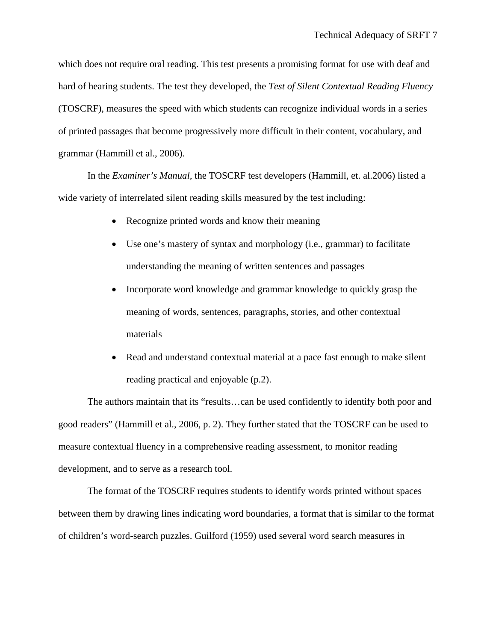which does not require oral reading. This test presents a promising format for use with deaf and hard of hearing students. The test they developed, the *Test of Silent Contextual Reading Fluency* (TOSCRF), measures the speed with which students can recognize individual words in a series of printed passages that become progressively more difficult in their content, vocabulary, and grammar (Hammill et al., 2006).

In the *Examiner's Manual,* the TOSCRF test developers (Hammill, et. al.2006) listed a wide variety of interrelated silent reading skills measured by the test including:

- Recognize printed words and know their meaning
- Use one's mastery of syntax and morphology (i.e., grammar) to facilitate understanding the meaning of written sentences and passages
- Incorporate word knowledge and grammar knowledge to quickly grasp the meaning of words, sentences, paragraphs, stories, and other contextual materials
- Read and understand contextual material at a pace fast enough to make silent reading practical and enjoyable (p.2).

The authors maintain that its "results…can be used confidently to identify both poor and good readers" (Hammill et al., 2006, p. 2). They further stated that the TOSCRF can be used to measure contextual fluency in a comprehensive reading assessment, to monitor reading development, and to serve as a research tool.

The format of the TOSCRF requires students to identify words printed without spaces between them by drawing lines indicating word boundaries, a format that is similar to the format of children's word-search puzzles. Guilford (1959) used several word search measures in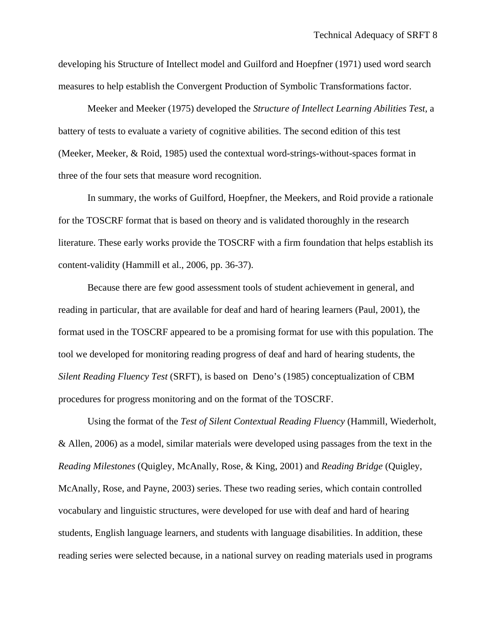developing his Structure of Intellect model and Guilford and Hoepfner (1971) used word search measures to help establish the Convergent Production of Symbolic Transformations factor.

Meeker and Meeker (1975) developed the *Structure of Intellect Learning Abilities Test,* a battery of tests to evaluate a variety of cognitive abilities. The second edition of this test (Meeker, Meeker, & Roid, 1985) used the contextual word-strings-without-spaces format in three of the four sets that measure word recognition.

In summary, the works of Guilford, Hoepfner, the Meekers, and Roid provide a rationale for the TOSCRF format that is based on theory and is validated thoroughly in the research literature. These early works provide the TOSCRF with a firm foundation that helps establish its content-validity (Hammill et al., 2006, pp. 36-37).

Because there are few good assessment tools of student achievement in general, and reading in particular, that are available for deaf and hard of hearing learners (Paul, 2001), the format used in the TOSCRF appeared to be a promising format for use with this population. The tool we developed for monitoring reading progress of deaf and hard of hearing students, the *Silent Reading Fluency Test* (SRFT), is based on Deno's (1985) conceptualization of CBM procedures for progress monitoring and on the format of the TOSCRF.

Using the format of the *Test of Silent Contextual Reading Fluency* (Hammill, Wiederholt, & Allen, 2006) as a model, similar materials were developed using passages from the text in the *Reading Milestones* (Quigley, McAnally, Rose, & King, 2001) and *Reading Bridge* (Quigley, McAnally, Rose, and Payne, 2003) series. These two reading series, which contain controlled vocabulary and linguistic structures, were developed for use with deaf and hard of hearing students, English language learners, and students with language disabilities. In addition, these reading series were selected because, in a national survey on reading materials used in programs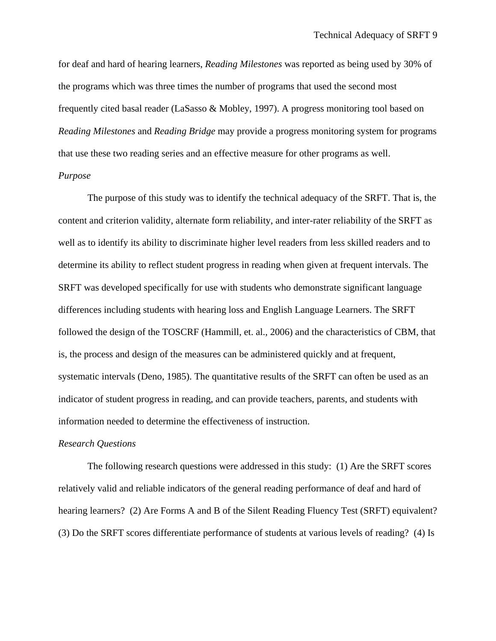for deaf and hard of hearing learners, *Reading Milestones* was reported as being used by 30% of the programs which was three times the number of programs that used the second most frequently cited basal reader (LaSasso & Mobley, 1997). A progress monitoring tool based on *Reading Milestones* and *Reading Bridge* may provide a progress monitoring system for programs that use these two reading series and an effective measure for other programs as well.

#### *Purpose*

The purpose of this study was to identify the technical adequacy of the SRFT. That is, the content and criterion validity, alternate form reliability, and inter-rater reliability of the SRFT as well as to identify its ability to discriminate higher level readers from less skilled readers and to determine its ability to reflect student progress in reading when given at frequent intervals. The SRFT was developed specifically for use with students who demonstrate significant language differences including students with hearing loss and English Language Learners. The SRFT followed the design of the TOSCRF (Hammill, et. al., 2006) and the characteristics of CBM, that is, the process and design of the measures can be administered quickly and at frequent, systematic intervals (Deno, 1985). The quantitative results of the SRFT can often be used as an indicator of student progress in reading, and can provide teachers, parents, and students with information needed to determine the effectiveness of instruction.

#### *Research Questions*

The following research questions were addressed in this study: (1) Are the SRFT scores relatively valid and reliable indicators of the general reading performance of deaf and hard of hearing learners? (2) Are Forms A and B of the Silent Reading Fluency Test (SRFT) equivalent? (3) Do the SRFT scores differentiate performance of students at various levels of reading? (4) Is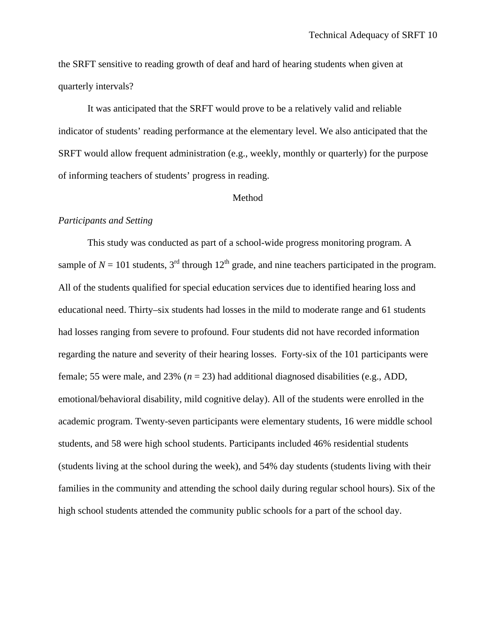the SRFT sensitive to reading growth of deaf and hard of hearing students when given at quarterly intervals?

It was anticipated that the SRFT would prove to be a relatively valid and reliable indicator of students' reading performance at the elementary level. We also anticipated that the SRFT would allow frequent administration (e.g., weekly, monthly or quarterly) for the purpose of informing teachers of students' progress in reading.

#### Method

#### *Participants and Setting*

This study was conducted as part of a school-wide progress monitoring program. A sample of  $N = 101$  students,  $3<sup>rd</sup>$  through  $12<sup>th</sup>$  grade, and nine teachers participated in the program. All of the students qualified for special education services due to identified hearing loss and educational need. Thirty–six students had losses in the mild to moderate range and 61 students had losses ranging from severe to profound. Four students did not have recorded information regarding the nature and severity of their hearing losses. Forty-six of the 101 participants were female; 55 were male, and 23% (*n* = 23) had additional diagnosed disabilities (e.g., ADD, emotional/behavioral disability, mild cognitive delay). All of the students were enrolled in the academic program. Twenty-seven participants were elementary students, 16 were middle school students, and 58 were high school students. Participants included 46% residential students (students living at the school during the week), and 54% day students (students living with their families in the community and attending the school daily during regular school hours). Six of the high school students attended the community public schools for a part of the school day.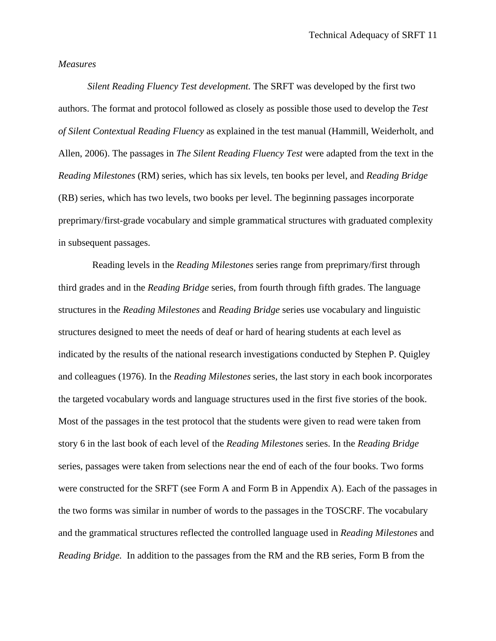#### *Measures*

*Silent Reading Fluency Test development.* The SRFT was developed by the first two authors. The format and protocol followed as closely as possible those used to develop the *Test of Silent Contextual Reading Fluency* as explained in the test manual (Hammill, Weiderholt, and Allen, 2006). The passages in *The Silent Reading Fluency Test* were adapted from the text in the *Reading Milestones* (RM) series, which has six levels, ten books per level, and *Reading Bridge* (RB) series, which has two levels, two books per level. The beginning passages incorporate preprimary/first-grade vocabulary and simple grammatical structures with graduated complexity in subsequent passages.

 Reading levels in the *Reading Milestones* series range from preprimary/first through third grades and in the *Reading Bridge* series, from fourth through fifth grades. The language structures in the *Reading Milestones* and *Reading Bridge* series use vocabulary and linguistic structures designed to meet the needs of deaf or hard of hearing students at each level as indicated by the results of the national research investigations conducted by Stephen P. Quigley and colleagues (1976). In the *Reading Milestones* series, the last story in each book incorporates the targeted vocabulary words and language structures used in the first five stories of the book. Most of the passages in the test protocol that the students were given to read were taken from story 6 in the last book of each level of the *Reading Milestones* series. In the *Reading Bridge* series, passages were taken from selections near the end of each of the four books. Two forms were constructed for the SRFT (see Form A and Form B in Appendix A). Each of the passages in the two forms was similar in number of words to the passages in the TOSCRF. The vocabulary and the grammatical structures reflected the controlled language used in *Reading Milestones* and *Reading Bridge.* In addition to the passages from the RM and the RB series, Form B from the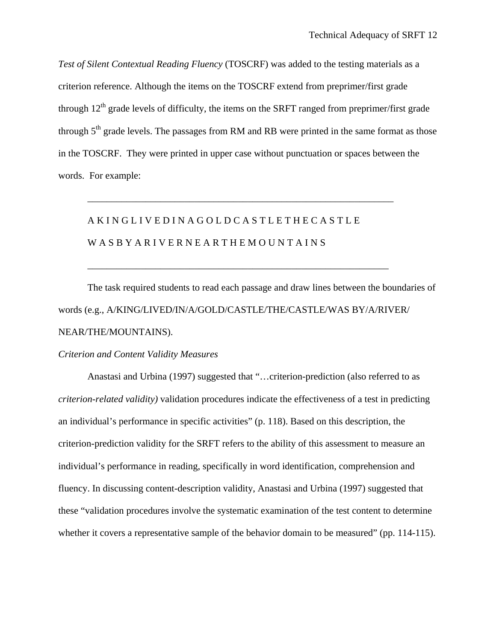*Test of Silent Contextual Reading Fluency* (TOSCRF) was added to the testing materials as a criterion reference. Although the items on the TOSCRF extend from preprimer/first grade through  $12<sup>th</sup>$  grade levels of difficulty, the items on the SRFT ranged from preprimer/first grade through  $5<sup>th</sup>$  grade levels. The passages from RM and RB were printed in the same format as those in the TOSCRF. They were printed in upper case without punctuation or spaces between the words. For example:

\_\_\_\_\_\_\_\_\_\_\_\_\_\_\_\_\_\_\_\_\_\_\_\_\_\_\_\_\_\_\_\_\_\_\_\_\_\_\_\_\_\_\_\_\_\_\_\_\_\_\_\_\_\_\_\_\_\_\_\_\_\_\_

\_\_\_\_\_\_\_\_\_\_\_\_\_\_\_\_\_\_\_\_\_\_\_\_\_\_\_\_\_\_\_\_\_\_\_\_\_\_\_\_\_\_\_\_\_\_\_\_\_\_\_\_\_\_\_\_\_\_\_\_\_\_

# A K I N G L I V E D I N A G O L D C A S T L E T H E C A S T L E W A S B Y A R I V E R N E A R T H E M O U N T A I N S

The task required students to read each passage and draw lines between the boundaries of words (e.g., A/KING/LIVED/IN/A/GOLD/CASTLE/THE/CASTLE/WAS BY/A/RIVER/ NEAR/THE/MOUNTAINS).

#### *Criterion and Content Validity Measures*

 Anastasi and Urbina (1997) suggested that "…criterion-prediction (also referred to as *criterion-related validity)* validation procedures indicate the effectiveness of a test in predicting an individual's performance in specific activities" (p. 118). Based on this description, the criterion-prediction validity for the SRFT refers to the ability of this assessment to measure an individual's performance in reading, specifically in word identification, comprehension and fluency. In discussing content-description validity, Anastasi and Urbina (1997) suggested that these "validation procedures involve the systematic examination of the test content to determine whether it covers a representative sample of the behavior domain to be measured" (pp. 114-115).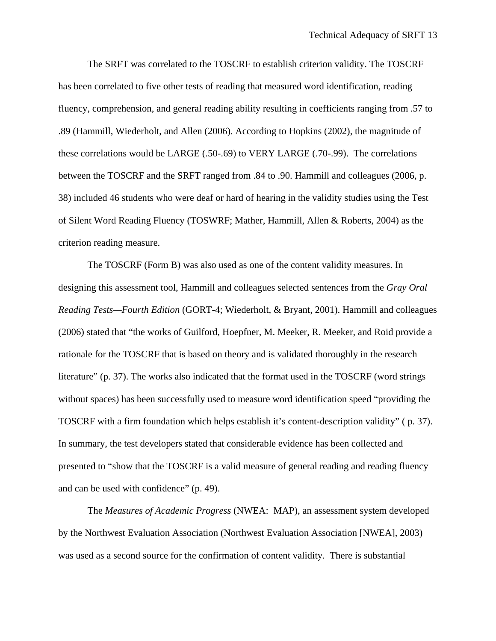The SRFT was correlated to the TOSCRF to establish criterion validity. The TOSCRF has been correlated to five other tests of reading that measured word identification, reading fluency, comprehension, and general reading ability resulting in coefficients ranging from .57 to .89 (Hammill, Wiederholt, and Allen (2006). According to Hopkins (2002), the magnitude of these correlations would be LARGE (.50-.69) to VERY LARGE (.70-.99). The correlations between the TOSCRF and the SRFT ranged from .84 to .90. Hammill and colleagues (2006, p. 38) included 46 students who were deaf or hard of hearing in the validity studies using the Test of Silent Word Reading Fluency (TOSWRF; Mather, Hammill, Allen & Roberts, 2004) as the criterion reading measure.

The TOSCRF (Form B) was also used as one of the content validity measures. In designing this assessment tool, Hammill and colleagues selected sentences from the *Gray Oral Reading Tests—Fourth Edition* (GORT-4; Wiederholt, & Bryant, 2001). Hammill and colleagues (2006) stated that "the works of Guilford, Hoepfner, M. Meeker, R. Meeker, and Roid provide a rationale for the TOSCRF that is based on theory and is validated thoroughly in the research literature" (p. 37). The works also indicated that the format used in the TOSCRF (word strings without spaces) has been successfully used to measure word identification speed "providing the TOSCRF with a firm foundation which helps establish it's content-description validity" ( p. 37). In summary, the test developers stated that considerable evidence has been collected and presented to "show that the TOSCRF is a valid measure of general reading and reading fluency and can be used with confidence" (p. 49).

The *Measures of Academic Progress* (NWEA: MAP), an assessment system developed by the Northwest Evaluation Association (Northwest Evaluation Association [NWEA], 2003) was used as a second source for the confirmation of content validity. There is substantial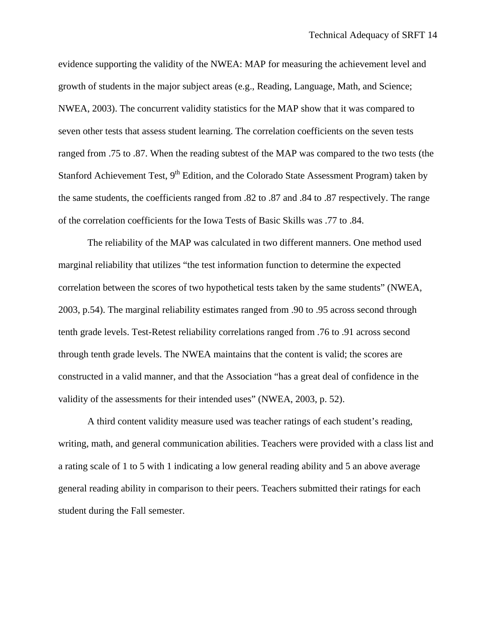evidence supporting the validity of the NWEA: MAP for measuring the achievement level and growth of students in the major subject areas (e.g., Reading, Language, Math, and Science; NWEA, 2003). The concurrent validity statistics for the MAP show that it was compared to seven other tests that assess student learning. The correlation coefficients on the seven tests ranged from .75 to .87. When the reading subtest of the MAP was compared to the two tests (the Stanford Achievement Test, 9<sup>th</sup> Edition, and the Colorado State Assessment Program) taken by the same students, the coefficients ranged from .82 to .87 and .84 to .87 respectively. The range of the correlation coefficients for the Iowa Tests of Basic Skills was .77 to .84.

The reliability of the MAP was calculated in two different manners. One method used marginal reliability that utilizes "the test information function to determine the expected correlation between the scores of two hypothetical tests taken by the same students" (NWEA, 2003, p.54). The marginal reliability estimates ranged from .90 to .95 across second through tenth grade levels. Test-Retest reliability correlations ranged from .76 to .91 across second through tenth grade levels. The NWEA maintains that the content is valid; the scores are constructed in a valid manner, and that the Association "has a great deal of confidence in the validity of the assessments for their intended uses" (NWEA, 2003, p. 52).

A third content validity measure used was teacher ratings of each student's reading, writing, math, and general communication abilities. Teachers were provided with a class list and a rating scale of 1 to 5 with 1 indicating a low general reading ability and 5 an above average general reading ability in comparison to their peers. Teachers submitted their ratings for each student during the Fall semester.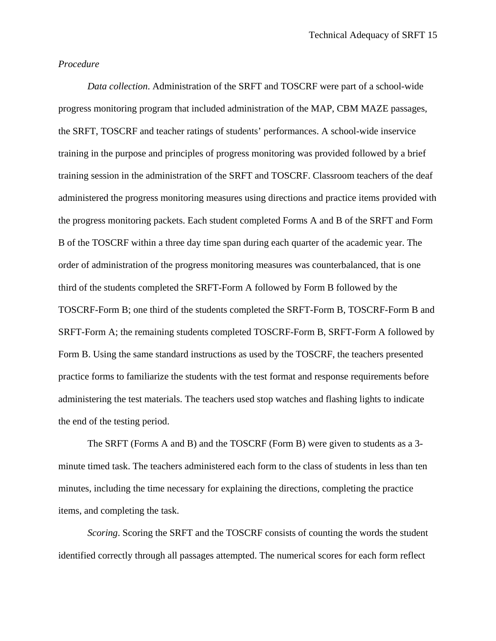#### *Procedure*

 *Data collection*. Administration of the SRFT and TOSCRF were part of a school-wide progress monitoring program that included administration of the MAP, CBM MAZE passages, the SRFT, TOSCRF and teacher ratings of students' performances. A school-wide inservice training in the purpose and principles of progress monitoring was provided followed by a brief training session in the administration of the SRFT and TOSCRF. Classroom teachers of the deaf administered the progress monitoring measures using directions and practice items provided with the progress monitoring packets. Each student completed Forms A and B of the SRFT and Form B of the TOSCRF within a three day time span during each quarter of the academic year. The order of administration of the progress monitoring measures was counterbalanced, that is one third of the students completed the SRFT-Form A followed by Form B followed by the TOSCRF-Form B; one third of the students completed the SRFT-Form B, TOSCRF-Form B and SRFT-Form A; the remaining students completed TOSCRF-Form B, SRFT-Form A followed by Form B. Using the same standard instructions as used by the TOSCRF, the teachers presented practice forms to familiarize the students with the test format and response requirements before administering the test materials. The teachers used stop watches and flashing lights to indicate the end of the testing period.

The SRFT (Forms A and B) and the TOSCRF (Form B) were given to students as a 3 minute timed task. The teachers administered each form to the class of students in less than ten minutes, including the time necessary for explaining the directions, completing the practice items, and completing the task.

*Scoring*. Scoring the SRFT and the TOSCRF consists of counting the words the student identified correctly through all passages attempted. The numerical scores for each form reflect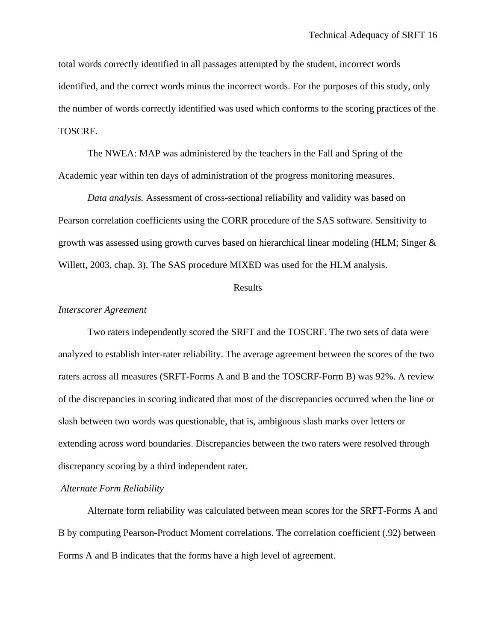total words correctly identified in all passages attempted by the student, incorrect words identified, and the correct words minus the incorrect words. For the purposes of this study, only the number of words correctly identified was used which conforms to the scoring practices of the TOSCRF.

The NWEA: MAP was administered by the teachers in the Fall and Spring of the Academic year within ten days of administration of the progress monitoring measures.

 *Data analysis.* Assessment of cross-sectional reliability and validity was based on Pearson correlation coefficients using the CORR procedure of the SAS software. Sensitivity to growth was assessed using growth curves based on hierarchical linear modeling (HLM; Singer & Willett, 2003, chap. 3). The SAS procedure MIXED was used for the HLM analysis.

#### Results

#### *Interscorer Agreement*

 Two raters independently scored the SRFT and the TOSCRF. The two sets of data were analyzed to establish inter-rater reliability. The average agreement between the scores of the two raters across all measures (SRFT-Forms A and B and the TOSCRF-Form B) was 92%. A review of the discrepancies in scoring indicated that most of the discrepancies occurred when the line or slash between two words was questionable, that is, ambiguous slash marks over letters or extending across word boundaries. Discrepancies between the two raters were resolved through discrepancy scoring by a third independent rater.

#### *Alternate Form Reliability*

 Alternate form reliability was calculated between mean scores for the SRFT-Forms A and B by computing Pearson-Product Moment correlations. The correlation coefficient (.92) between Forms A and B indicates that the forms have a high level of agreement.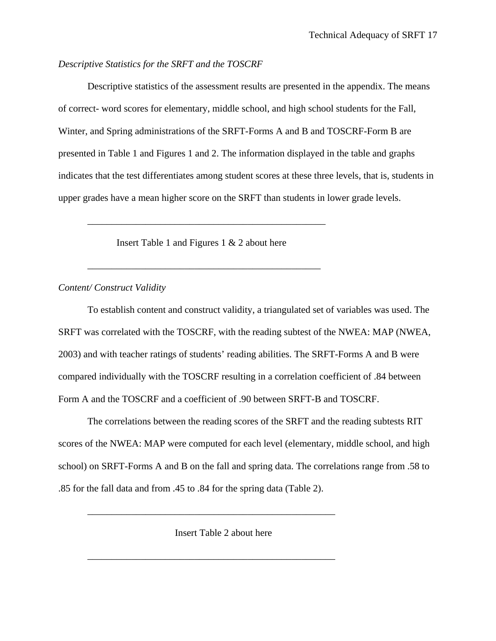#### *Descriptive Statistics for the SRFT and the TOSCRF*

Descriptive statistics of the assessment results are presented in the appendix. The means of correct- word scores for elementary, middle school, and high school students for the Fall, Winter, and Spring administrations of the SRFT-Forms A and B and TOSCRF-Form B are presented in Table 1 and Figures 1 and 2. The information displayed in the table and graphs indicates that the test differentiates among student scores at these three levels, that is, students in upper grades have a mean higher score on the SRFT than students in lower grade levels.

Insert Table 1 and Figures 1 & 2 about here

\_\_\_\_\_\_\_\_\_\_\_\_\_\_\_\_\_\_\_\_\_\_\_\_\_\_\_\_\_\_\_\_\_\_\_\_\_\_\_\_\_\_\_\_\_\_\_\_

\_\_\_\_\_\_\_\_\_\_\_\_\_\_\_\_\_\_\_\_\_\_\_\_\_\_\_\_\_\_\_\_\_\_\_\_\_\_\_\_\_\_\_\_\_\_\_\_\_

#### *Content/ Construct Validity*

 To establish content and construct validity, a triangulated set of variables was used. The SRFT was correlated with the TOSCRF, with the reading subtest of the NWEA: MAP (NWEA, 2003) and with teacher ratings of students' reading abilities. The SRFT-Forms A and B were compared individually with the TOSCRF resulting in a correlation coefficient of .84 between Form A and the TOSCRF and a coefficient of .90 between SRFT-B and TOSCRF.

The correlations between the reading scores of the SRFT and the reading subtests RIT scores of the NWEA: MAP were computed for each level (elementary, middle school, and high school) on SRFT-Forms A and B on the fall and spring data. The correlations range from .58 to .85 for the fall data and from .45 to .84 for the spring data (Table 2).

Insert Table 2 about here

\_\_\_\_\_\_\_\_\_\_\_\_\_\_\_\_\_\_\_\_\_\_\_\_\_\_\_\_\_\_\_\_\_\_\_\_\_\_\_\_\_\_\_\_\_\_\_\_\_\_\_

\_\_\_\_\_\_\_\_\_\_\_\_\_\_\_\_\_\_\_\_\_\_\_\_\_\_\_\_\_\_\_\_\_\_\_\_\_\_\_\_\_\_\_\_\_\_\_\_\_\_\_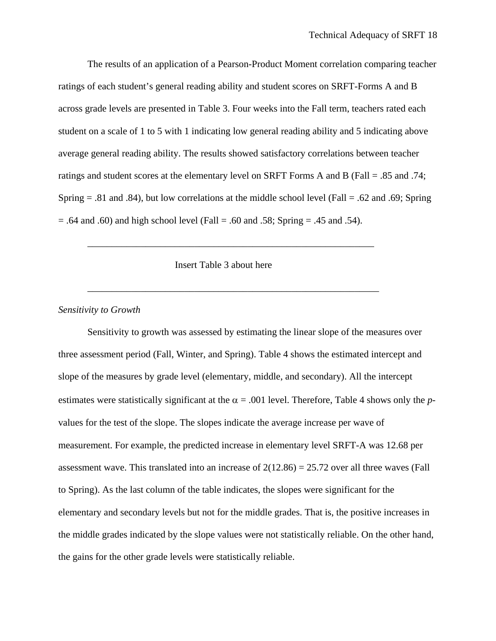The results of an application of a Pearson-Product Moment correlation comparing teacher ratings of each student's general reading ability and student scores on SRFT-Forms A and B across grade levels are presented in Table 3. Four weeks into the Fall term, teachers rated each student on a scale of 1 to 5 with 1 indicating low general reading ability and 5 indicating above average general reading ability. The results showed satisfactory correlations between teacher ratings and student scores at the elementary level on SRFT Forms A and B (Fall = .85 and .74; Spring  $= .81$  and  $.84$ ), but low correlations at the middle school level (Fall  $= .62$  and  $.69$ ; Spring  $= .64$  and .60) and high school level (Fall  $= .60$  and .58; Spring  $= .45$  and .54).

Insert Table 3 about here

\_\_\_\_\_\_\_\_\_\_\_\_\_\_\_\_\_\_\_\_\_\_\_\_\_\_\_\_\_\_\_\_\_\_\_\_\_\_\_\_\_\_\_\_\_\_\_\_\_\_\_\_\_\_\_\_\_\_\_

\_\_\_\_\_\_\_\_\_\_\_\_\_\_\_\_\_\_\_\_\_\_\_\_\_\_\_\_\_\_\_\_\_\_\_\_\_\_\_\_\_\_\_\_\_\_\_\_\_\_\_\_\_\_\_\_\_\_\_\_

#### *Sensitivity to Growth*

 Sensitivity to growth was assessed by estimating the linear slope of the measures over three assessment period (Fall, Winter, and Spring). Table 4 shows the estimated intercept and slope of the measures by grade level (elementary, middle, and secondary). All the intercept estimates were statistically significant at the  $\alpha$  = .001 level. Therefore, Table 4 shows only the *p*values for the test of the slope. The slopes indicate the average increase per wave of measurement. For example, the predicted increase in elementary level SRFT-A was 12.68 per assessment wave. This translated into an increase of  $2(12.86) = 25.72$  over all three waves (Fall to Spring). As the last column of the table indicates, the slopes were significant for the elementary and secondary levels but not for the middle grades. That is, the positive increases in the middle grades indicated by the slope values were not statistically reliable. On the other hand, the gains for the other grade levels were statistically reliable.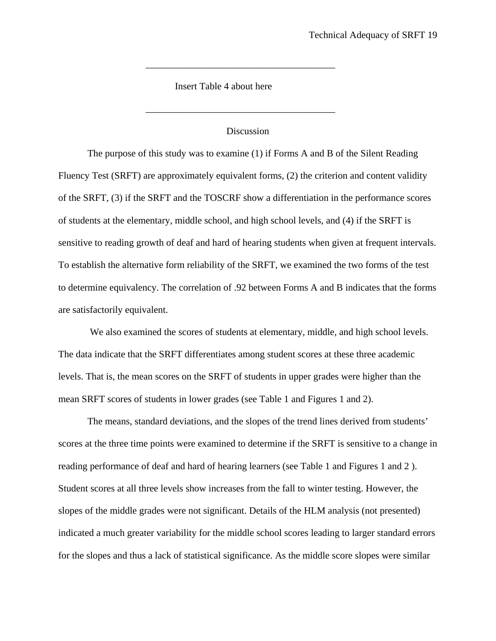Insert Table 4 about here

#### Discussion

\_\_\_\_\_\_\_\_\_\_\_\_\_\_\_\_\_\_\_\_\_\_\_\_\_\_\_\_\_\_\_\_\_\_\_\_\_\_\_

\_\_\_\_\_\_\_\_\_\_\_\_\_\_\_\_\_\_\_\_\_\_\_\_\_\_\_\_\_\_\_\_\_\_\_\_\_\_\_

The purpose of this study was to examine (1) if Forms A and B of the Silent Reading Fluency Test (SRFT) are approximately equivalent forms, (2) the criterion and content validity of the SRFT, (3) if the SRFT and the TOSCRF show a differentiation in the performance scores of students at the elementary, middle school, and high school levels, and (4) if the SRFT is sensitive to reading growth of deaf and hard of hearing students when given at frequent intervals. To establish the alternative form reliability of the SRFT, we examined the two forms of the test to determine equivalency. The correlation of .92 between Forms A and B indicates that the forms are satisfactorily equivalent.

 We also examined the scores of students at elementary, middle, and high school levels. The data indicate that the SRFT differentiates among student scores at these three academic levels. That is, the mean scores on the SRFT of students in upper grades were higher than the mean SRFT scores of students in lower grades (see Table 1 and Figures 1 and 2).

 The means, standard deviations, and the slopes of the trend lines derived from students' scores at the three time points were examined to determine if the SRFT is sensitive to a change in reading performance of deaf and hard of hearing learners (see Table 1 and Figures 1 and 2 ). Student scores at all three levels show increases from the fall to winter testing. However, the slopes of the middle grades were not significant. Details of the HLM analysis (not presented) indicated a much greater variability for the middle school scores leading to larger standard errors for the slopes and thus a lack of statistical significance. As the middle score slopes were similar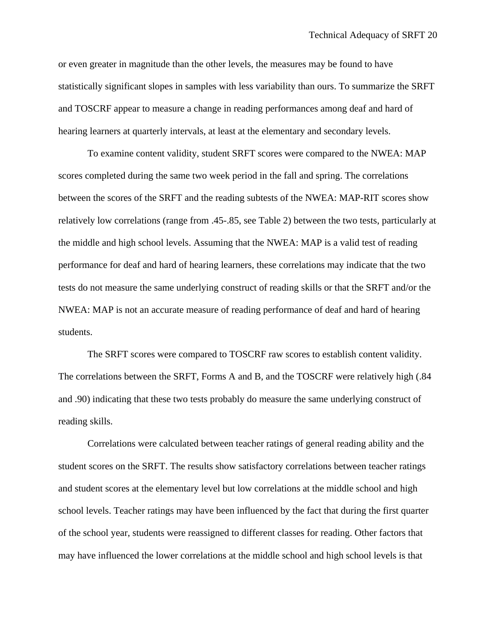or even greater in magnitude than the other levels, the measures may be found to have statistically significant slopes in samples with less variability than ours. To summarize the SRFT and TOSCRF appear to measure a change in reading performances among deaf and hard of hearing learners at quarterly intervals, at least at the elementary and secondary levels.

 To examine content validity, student SRFT scores were compared to the NWEA: MAP scores completed during the same two week period in the fall and spring. The correlations between the scores of the SRFT and the reading subtests of the NWEA: MAP-RIT scores show relatively low correlations (range from .45-.85, see Table 2) between the two tests, particularly at the middle and high school levels. Assuming that the NWEA: MAP is a valid test of reading performance for deaf and hard of hearing learners, these correlations may indicate that the two tests do not measure the same underlying construct of reading skills or that the SRFT and/or the NWEA: MAP is not an accurate measure of reading performance of deaf and hard of hearing students.

 The SRFT scores were compared to TOSCRF raw scores to establish content validity. The correlations between the SRFT, Forms A and B, and the TOSCRF were relatively high (.84 and .90) indicating that these two tests probably do measure the same underlying construct of reading skills.

Correlations were calculated between teacher ratings of general reading ability and the student scores on the SRFT. The results show satisfactory correlations between teacher ratings and student scores at the elementary level but low correlations at the middle school and high school levels. Teacher ratings may have been influenced by the fact that during the first quarter of the school year, students were reassigned to different classes for reading. Other factors that may have influenced the lower correlations at the middle school and high school levels is that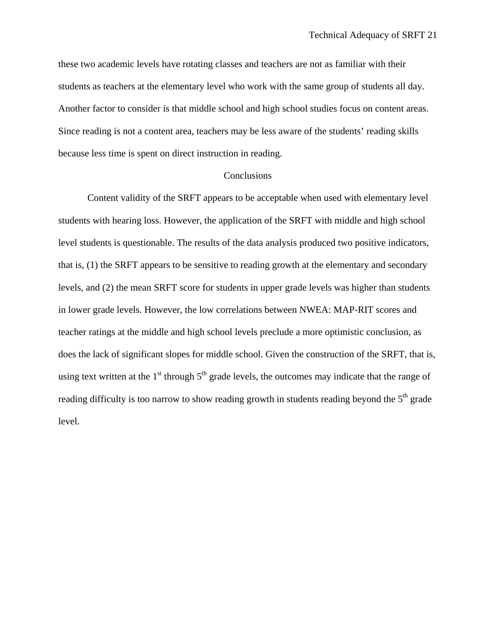these two academic levels have rotating classes and teachers are not as familiar with their students as teachers at the elementary level who work with the same group of students all day. Another factor to consider is that middle school and high school studies focus on content areas. Since reading is not a content area, teachers may be less aware of the students' reading skills because less time is spent on direct instruction in reading.

#### Conclusions

 Content validity of the SRFT appears to be acceptable when used with elementary level students with hearing loss. However, the application of the SRFT with middle and high school level students is questionable. The results of the data analysis produced two positive indicators, that is, (1) the SRFT appears to be sensitive to reading growth at the elementary and secondary levels, and (2) the mean SRFT score for students in upper grade levels was higher than students in lower grade levels. However, the low correlations between NWEA: MAP-RIT scores and teacher ratings at the middle and high school levels preclude a more optimistic conclusion, as does the lack of significant slopes for middle school. Given the construction of the SRFT, that is, using text written at the  $1<sup>st</sup>$  through  $5<sup>th</sup>$  grade levels, the outcomes may indicate that the range of reading difficulty is too narrow to show reading growth in students reading beyond the 5<sup>th</sup> grade level.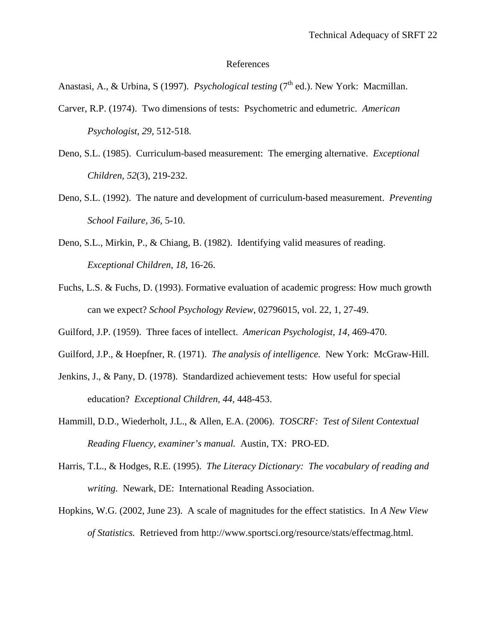#### References

Anastasi, A., & Urbina, S (1997). *Psychological testing* (7<sup>th</sup> ed.). New York: Macmillan.

- Carver, R.P. (1974). Two dimensions of tests: Psychometric and edumetric. *American Psychologist, 29,* 512-518.
- Deno, S.L. (1985). Curriculum-based measurement: The emerging alternative. *Exceptional Children, 52*(3), 219-232.
- Deno, S.L. (1992). The nature and development of curriculum-based measurement. *Preventing School Failure, 36,* 5-10.
- Deno, S.L., Mirkin, P., & Chiang, B. (1982). Identifying valid measures of reading. *Exceptional Children, 18,* 16-26.
- Fuchs, L.S. & Fuchs, D. (1993). Formative evaluation of academic progress: How much growth can we expect? *School Psychology Review*, 02796015, vol. 22, 1, 27-49.
- Guilford, J.P. (1959). Three faces of intellect. *American Psychologist, 14,* 469-470.
- Guilford, J.P., & Hoepfner, R. (1971). *The analysis of intelligence.* New York: McGraw-Hill.
- Jenkins, J., & Pany, D. (1978). Standardized achievement tests: How useful for special education? *Exceptional Children, 44,* 448-453.
- Hammill, D.D., Wiederholt, J.L., & Allen, E.A. (2006). *TOSCRF: Test of Silent Contextual Reading Fluency, examiner's manual.* Austin, TX: PRO-ED.
- Harris, T.L., & Hodges, R.E. (1995). *The Literacy Dictionary: The vocabulary of reading and writing.* Newark, DE: International Reading Association.
- Hopkins, W.G. (2002, June 23). A scale of magnitudes for the effect statistics. In *A New View of Statistics.* Retrieved from http://www.sportsci.org/resource/stats/effectmag.html.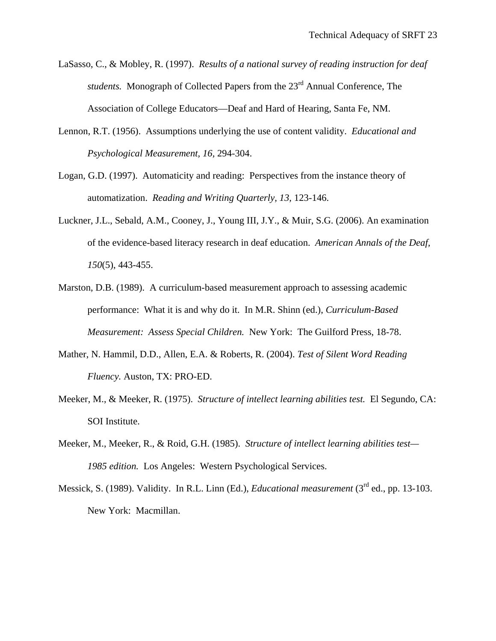- LaSasso, C., & Mobley, R. (1997). *Results of a national survey of reading instruction for deaf students.* Monograph of Collected Papers from the 23rd Annual Conference, The Association of College Educators—Deaf and Hard of Hearing, Santa Fe, NM.
- Lennon, R.T. (1956). Assumptions underlying the use of content validity. *Educational and Psychological Measurement, 16,* 294-304.
- Logan, G.D. (1997). Automaticity and reading: Perspectives from the instance theory of automatization. *Reading and Writing Quarterly, 13,* 123-146.
- Luckner, J.L., Sebald, A.M., Cooney, J., Young III, J.Y., & Muir, S.G. (2006). An examination of the evidence-based literacy research in deaf education. *American Annals of the Deaf, 150*(5), 443-455.
- Marston, D.B. (1989). A curriculum-based measurement approach to assessing academic performance: What it is and why do it. In M.R. Shinn (ed.), *Curriculum-Based Measurement: Assess Special Children.* New York: The Guilford Press, 18-78.
- Mather, N. Hammil, D.D., Allen, E.A. & Roberts, R. (2004). *Test of Silent Word Reading Fluency.* Auston, TX: PRO-ED.
- Meeker, M., & Meeker, R. (1975). *Structure of intellect learning abilities test.* El Segundo, CA: SOI Institute.
- Meeker, M., Meeker, R., & Roid, G.H. (1985). *Structure of intellect learning abilities test— 1985 edition.* Los Angeles: Western Psychological Services.
- Messick, S. (1989). Validity. In R.L. Linn (Ed.), *Educational measurement* (3<sup>rd</sup> ed., pp. 13-103. New York: Macmillan.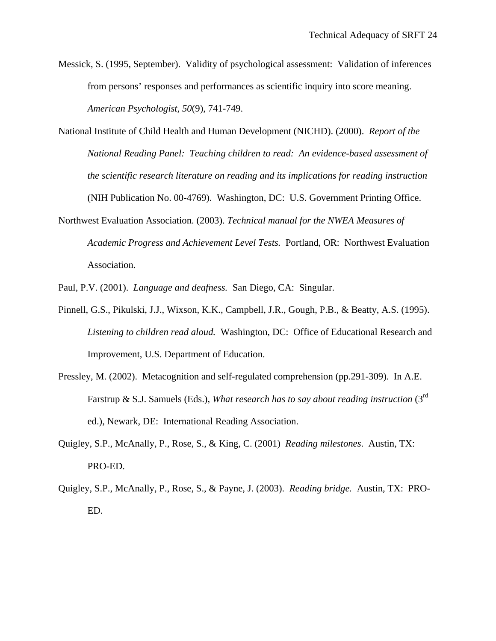- Messick, S. (1995, September). Validity of psychological assessment: Validation of inferences from persons' responses and performances as scientific inquiry into score meaning. *American Psychologist, 50*(9), 741-749.
- National Institute of Child Health and Human Development (NICHD). (2000). *Report of the National Reading Panel: Teaching children to read: An evidence-based assessment of the scientific research literature on reading and its implications for reading instruction*  (NIH Publication No. 00-4769). Washington, DC: U.S. Government Printing Office.
- Northwest Evaluation Association. (2003). *Technical manual for the NWEA Measures of Academic Progress and Achievement Level Tests.* Portland, OR: Northwest Evaluation Association.

Paul, P.V. (2001). *Language and deafness.* San Diego, CA: Singular.

- Pinnell, G.S., Pikulski, J.J., Wixson, K.K., Campbell, J.R., Gough, P.B., & Beatty, A.S. (1995). *Listening to children read aloud.* Washington, DC: Office of Educational Research and Improvement, U.S. Department of Education.
- Pressley, M. (2002). Metacognition and self-regulated comprehension (pp.291-309). In A.E. Farstrup & S.J. Samuels (Eds.), *What research has to say about reading instruction* (3rd ed.), Newark, DE: International Reading Association.
- Quigley, S.P., McAnally, P., Rose, S., & King, C. (2001) *Reading milestones*. Austin, TX: PRO-ED.
- Quigley, S.P., McAnally, P., Rose, S., & Payne, J. (2003). *Reading bridge.* Austin, TX: PRO-ED.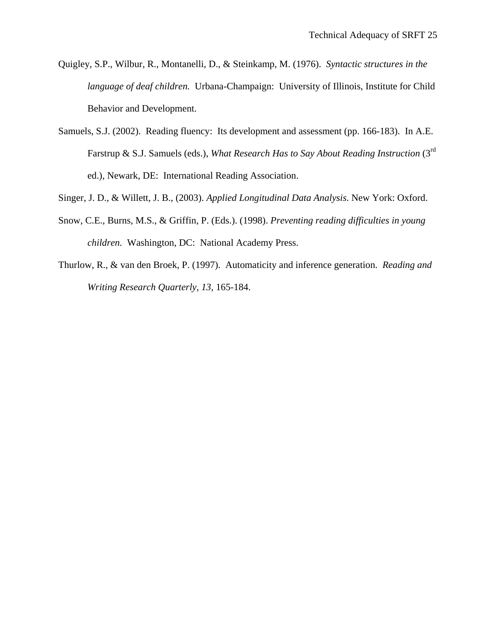- Quigley, S.P., Wilbur, R., Montanelli, D., & Steinkamp, M. (1976). *Syntactic structures in the language of deaf children.* Urbana-Champaign: University of Illinois, Institute for Child Behavior and Development.
- Samuels, S.J. (2002). Reading fluency: Its development and assessment (pp. 166-183). In A.E. Farstrup & S.J. Samuels (eds.), *What Research Has to Say About Reading Instruction* (3<sup>rd</sup>) ed.), Newark, DE: International Reading Association.
- Singer, J. D., & Willett, J. B., (2003). *Applied Longitudinal Data Analysis*. New York: Oxford.
- Snow, C.E., Burns, M.S., & Griffin, P. (Eds.). (1998). *Preventing reading difficulties in young children.* Washington, DC: National Academy Press.
- Thurlow, R., & van den Broek, P. (1997). Automaticity and inference generation. *Reading and Writing Research Quarterly, 13,* 165-184.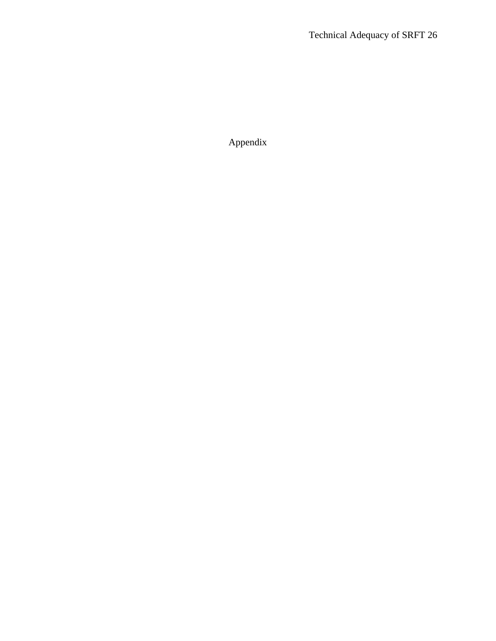Appendix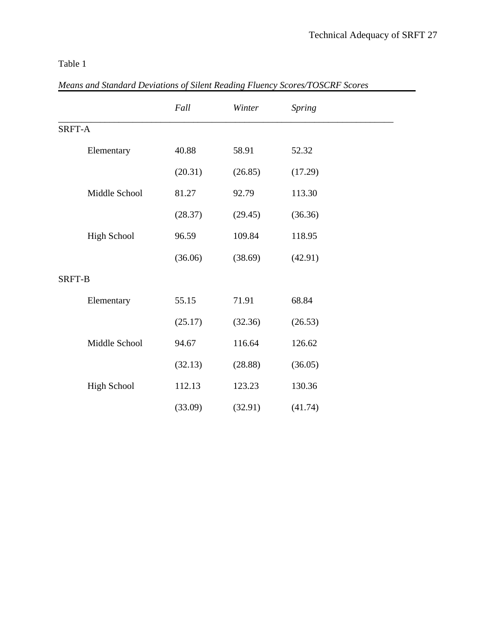| Means and Standard Deviations of Silent Reading Fluency Scores/IOSCRF Scores |         |         |         |  |  |
|------------------------------------------------------------------------------|---------|---------|---------|--|--|
|                                                                              | Fall    | Winter  | Spring  |  |  |
| SRFT-A                                                                       |         |         |         |  |  |
| Elementary                                                                   | 40.88   | 58.91   | 52.32   |  |  |
|                                                                              | (20.31) | (26.85) | (17.29) |  |  |
| Middle School                                                                | 81.27   | 92.79   | 113.30  |  |  |
|                                                                              | (28.37) | (29.45) | (36.36) |  |  |
| <b>High School</b>                                                           | 96.59   | 109.84  | 118.95  |  |  |
|                                                                              | (36.06) | (38.69) | (42.91) |  |  |
| SRFT-B                                                                       |         |         |         |  |  |
| Elementary                                                                   | 55.15   | 71.91   | 68.84   |  |  |
|                                                                              | (25.17) | (32.36) | (26.53) |  |  |
| Middle School                                                                | 94.67   | 116.64  | 126.62  |  |  |
|                                                                              | (32.13) | (28.88) | (36.05) |  |  |
| <b>High School</b>                                                           | 112.13  | 123.23  | 130.36  |  |  |
|                                                                              | (33.09) | (32.91) | (41.74) |  |  |

*Means and Standard Deviations of Silent Reading Fluency Scores/TOSCRF Scores*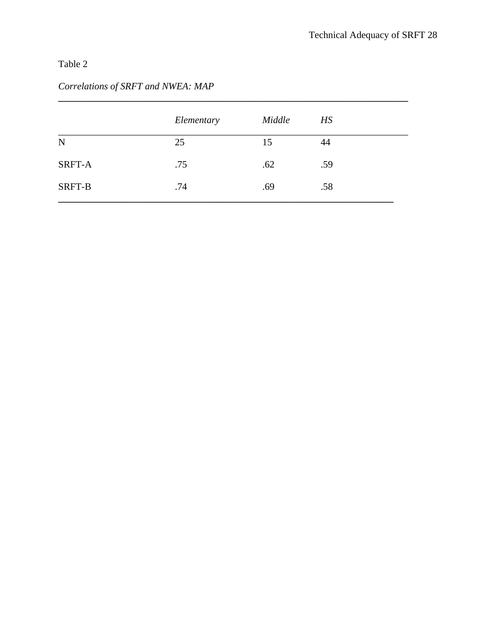# *Correlations of SRFT and NWEA: MAP*

|             | Elementary | Middle | HS  |
|-------------|------------|--------|-----|
| $\mathbf N$ | 25         | 15     | 44  |
| SRFT-A      | .75        | .62    | .59 |
| SRFT-B      | .74        | .69    | .58 |

**\_\_\_\_\_\_\_\_\_\_\_\_\_\_\_\_\_\_\_\_\_\_\_\_\_\_\_\_\_\_\_\_\_\_\_\_\_\_\_\_\_\_\_\_\_\_\_\_\_\_\_\_\_\_\_\_\_\_\_\_\_\_\_\_\_\_\_\_\_\_\_\_**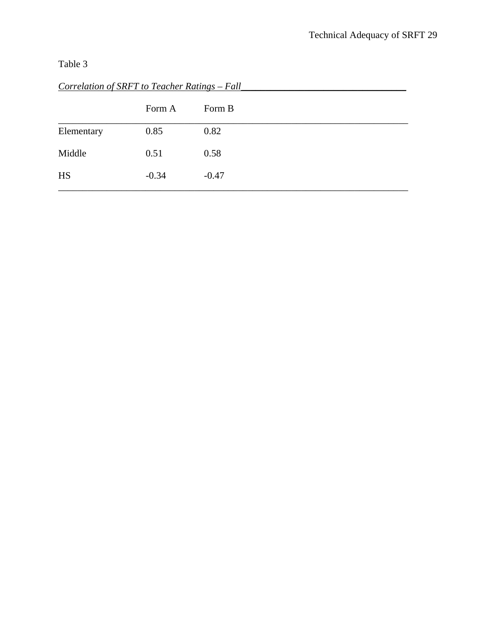|            | Form A  | Form B  |
|------------|---------|---------|
| Elementary | 0.85    | 0.82    |
| Middle     | 0.51    | 0.58    |
| <b>HS</b>  | $-0.34$ | $-0.47$ |

*Correlation of SRFT to Teacher Ratings – Fall\_\_\_\_\_\_\_\_\_\_\_\_\_\_\_\_\_\_\_\_\_\_\_\_\_\_\_\_\_\_\_\_\_\_*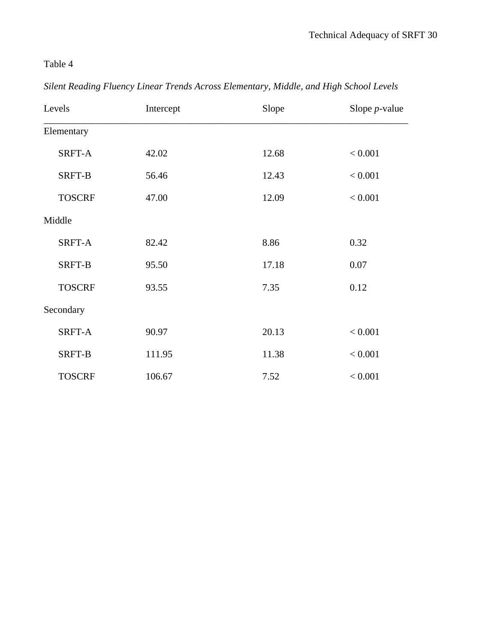|  | Silent Reading Fluency Linear Trends Across Elementary, Middle, and High School Levels |
|--|----------------------------------------------------------------------------------------|
|--|----------------------------------------------------------------------------------------|

| Levels        | Intercept | Slope | Slope $p$ -value |
|---------------|-----------|-------|------------------|
| Elementary    |           |       |                  |
| SRFT-A        | 42.02     | 12.68 | < 0.001          |
| SRFT-B        | 56.46     | 12.43 | < 0.001          |
| <b>TOSCRF</b> | 47.00     | 12.09 | < 0.001          |
| Middle        |           |       |                  |
| SRFT-A        | 82.42     | 8.86  | 0.32             |
| SRFT-B        | 95.50     | 17.18 | 0.07             |
| <b>TOSCRF</b> | 93.55     | 7.35  | 0.12             |
| Secondary     |           |       |                  |
| SRFT-A        | 90.97     | 20.13 | < 0.001          |
| SRFT-B        | 111.95    | 11.38 | < 0.001          |
| <b>TOSCRF</b> | 106.67    | 7.52  | < 0.001          |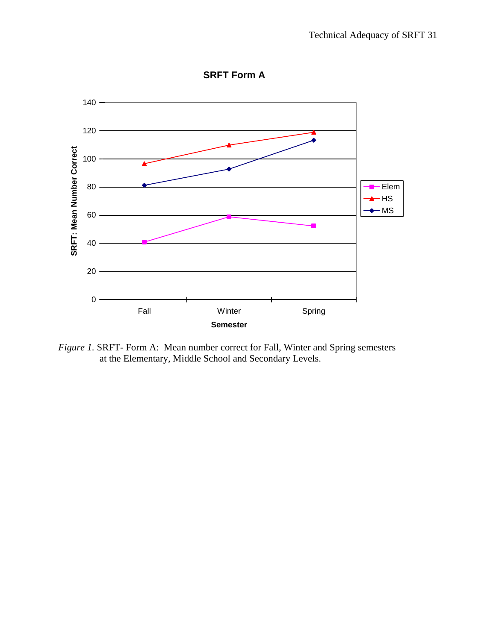

**SRFT Form A**

*Figure 1.* SRFT- Form A: Mean number correct for Fall, Winter and Spring semesters at the Elementary, Middle School and Secondary Levels.